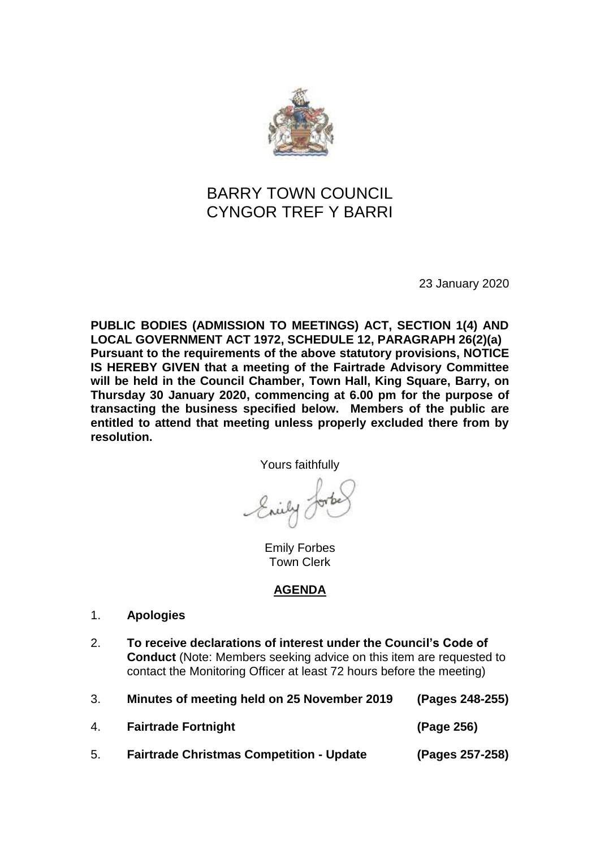

## BARRY TOWN COUNCIL CYNGOR TREF Y BARRI

23 January 2020

**PUBLIC BODIES (ADMISSION TO MEETINGS) ACT, SECTION 1(4) AND LOCAL GOVERNMENT ACT 1972, SCHEDULE 12, PARAGRAPH 26(2)(a) Pursuant to the requirements of the above statutory provisions, NOTICE IS HEREBY GIVEN that a meeting of the Fairtrade Advisory Committee will be held in the Council Chamber, Town Hall, King Square, Barry, on Thursday 30 January 2020, commencing at 6.00 pm for the purpose of transacting the business specified below. Members of the public are entitled to attend that meeting unless properly excluded there from by resolution.**

Yours faithfully

Emily Forbes Town Clerk

## **AGENDA**

- 1. **Apologies**
- 2. **To receive declarations of interest under the Council's Code of Conduct** (Note: Members seeking advice on this item are requested to contact the Monitoring Officer at least 72 hours before the meeting)

| 3. | Minutes of meeting held on 25 November 2019     | (Pages 248-255) |
|----|-------------------------------------------------|-----------------|
| 4. | <b>Fairtrade Fortnight</b>                      | (Page 256)      |
| 5. | <b>Fairtrade Christmas Competition - Update</b> | (Pages 257-258) |